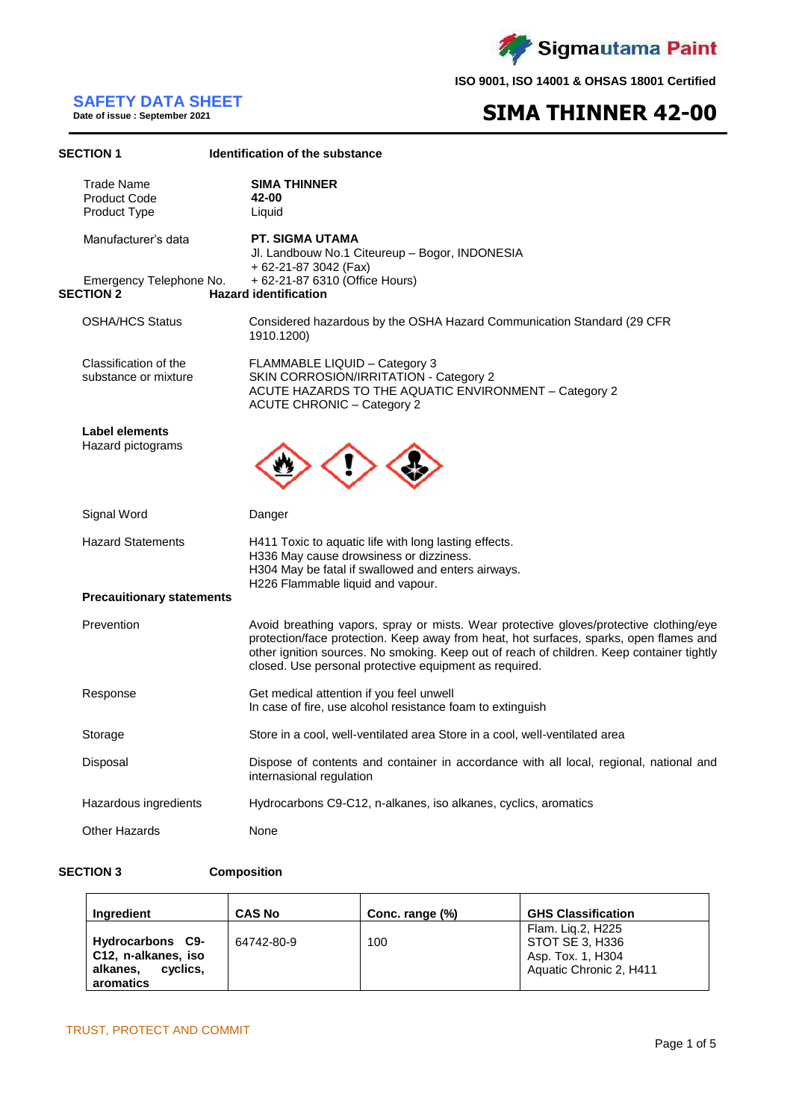

# **SAFETY DATA SHEET Date of issue : September 2021**

# **SIMA THINNER 42-00**

| <b>SECTION 1</b>                                         | Identification of the substance                                                                                                                                                                                                                                                                                                         |  |  |  |
|----------------------------------------------------------|-----------------------------------------------------------------------------------------------------------------------------------------------------------------------------------------------------------------------------------------------------------------------------------------------------------------------------------------|--|--|--|
| <b>Trade Name</b><br><b>Product Code</b><br>Product Type | <b>SIMA THINNER</b><br>42-00<br>Liquid                                                                                                                                                                                                                                                                                                  |  |  |  |
| Manufacturer's data                                      | <b>PT. SIGMA UTAMA</b><br>Jl. Landbouw No.1 Citeureup - Bogor, INDONESIA<br>+ 62-21-87 3042 (Fax)                                                                                                                                                                                                                                       |  |  |  |
| Emergency Telephone No.<br><b>SECTION 2</b>              | + 62-21-87 6310 (Office Hours)<br><b>Hazard identification</b>                                                                                                                                                                                                                                                                          |  |  |  |
| <b>OSHA/HCS Status</b>                                   | Considered hazardous by the OSHA Hazard Communication Standard (29 CFR<br>1910.1200)                                                                                                                                                                                                                                                    |  |  |  |
| Classification of the<br>substance or mixture            | FLAMMABLE LIQUID - Category 3<br>SKIN CORROSION/IRRITATION - Category 2<br>ACUTE HAZARDS TO THE AQUATIC ENVIRONMENT - Category 2<br><b>ACUTE CHRONIC - Category 2</b>                                                                                                                                                                   |  |  |  |
| Label elements<br>Hazard pictograms                      |                                                                                                                                                                                                                                                                                                                                         |  |  |  |
| Signal Word                                              | Danger                                                                                                                                                                                                                                                                                                                                  |  |  |  |
| <b>Hazard Statements</b>                                 | H411 Toxic to aquatic life with long lasting effects.<br>H336 May cause drowsiness or dizziness.<br>H304 May be fatal if swallowed and enters airways.<br>H226 Flammable liquid and vapour.                                                                                                                                             |  |  |  |
| <b>Precaultionary statements</b>                         |                                                                                                                                                                                                                                                                                                                                         |  |  |  |
| Prevention                                               | Avoid breathing vapors, spray or mists. Wear protective gloves/protective clothing/eye<br>protection/face protection. Keep away from heat, hot surfaces, sparks, open flames and<br>other ignition sources. No smoking. Keep out of reach of children. Keep container tightly<br>closed. Use personal protective equipment as required. |  |  |  |
| Response                                                 | Get medical attention if you feel unwell<br>In case of fire, use alcohol resistance foam to extinguish                                                                                                                                                                                                                                  |  |  |  |
| Storage                                                  | Store in a cool, well-ventilated area Store in a cool, well-ventilated area                                                                                                                                                                                                                                                             |  |  |  |
| Disposal                                                 | Dispose of contents and container in accordance with all local, regional, national and<br>internasional regulation                                                                                                                                                                                                                      |  |  |  |
| Hazardous ingredients                                    | Hydrocarbons C9-C12, n-alkanes, iso alkanes, cyclics, aromatics                                                                                                                                                                                                                                                                         |  |  |  |
| <b>Other Hazards</b>                                     | None                                                                                                                                                                                                                                                                                                                                    |  |  |  |
|                                                          |                                                                                                                                                                                                                                                                                                                                         |  |  |  |

## **SECTION 3 Composition**

| Ingredient                                                                   | <b>CAS No</b> | Conc. range (%) | <b>GHS Classification</b>                                                            |
|------------------------------------------------------------------------------|---------------|-----------------|--------------------------------------------------------------------------------------|
| Hydrocarbons C9-<br>C12, n-alkanes, iso<br>cyclics,<br>alkanes,<br>aromatics | 64742-80-9    | 100             | Flam. Lig.2, H225<br>STOT SE 3, H336<br>Asp. Tox. 1, H304<br>Aquatic Chronic 2, H411 |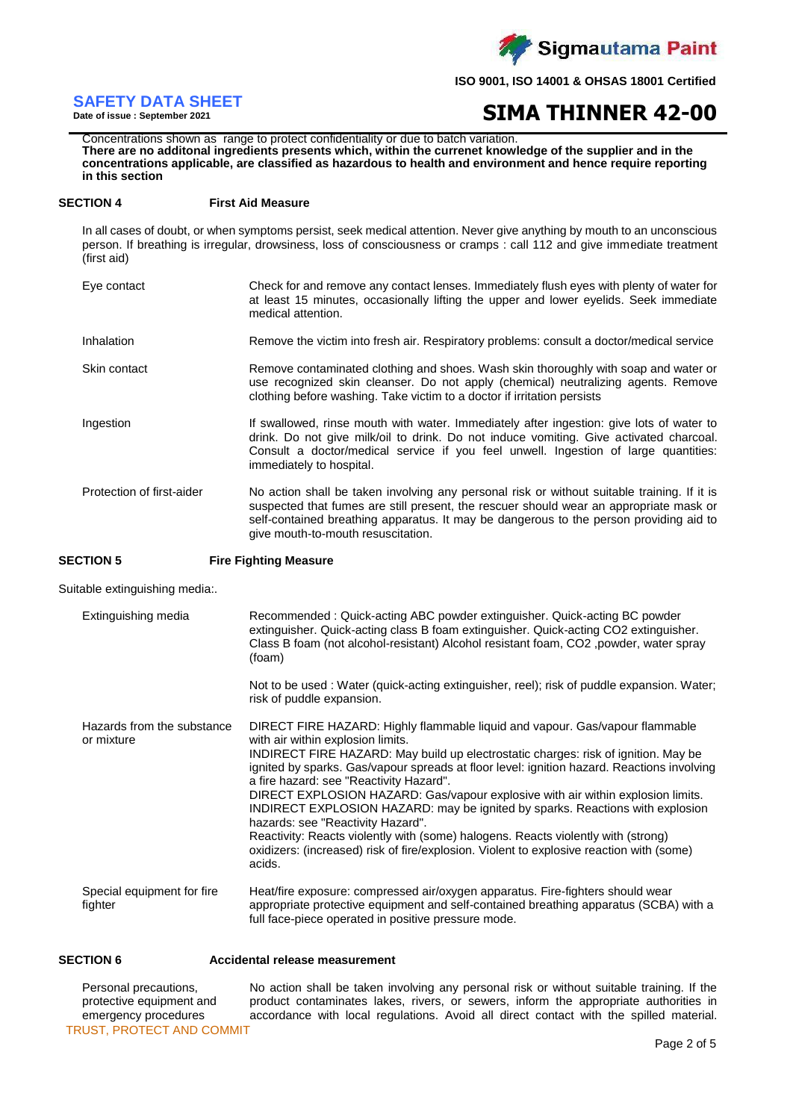

## **SAFETY DATA SHEET**

**Date of issue : September 2021**

# **SIMA THINNER 42-00**

 Concentrations shown as range to protect confidentiality or due to batch variation. **There are no additonal ingredients presents which, within the currenet knowledge of the supplier and in the concentrations applicable, are classified as hazardous to health and environment and hence require reporting in this section**

## **SECTION 4 First Aid Measure**

In all cases of doubt, or when symptoms persist, seek medical attention. Never give anything by mouth to an unconscious person. If breathing is irregular, drowsiness, loss of consciousness or cramps : call 112 and give immediate treatment (first aid)

| Eye contact               | Check for and remove any contact lenses. Immediately flush eyes with plenty of water for<br>at least 15 minutes, occasionally lifting the upper and lower eyelids. Seek immediate<br>medical attention.                                                                                                               |
|---------------------------|-----------------------------------------------------------------------------------------------------------------------------------------------------------------------------------------------------------------------------------------------------------------------------------------------------------------------|
| Inhalation                | Remove the victim into fresh air. Respiratory problems: consult a doctor/medical service                                                                                                                                                                                                                              |
| Skin contact              | Remove contaminated clothing and shoes. Wash skin thoroughly with soap and water or<br>use recognized skin cleanser. Do not apply (chemical) neutralizing agents. Remove<br>clothing before washing. Take victim to a doctor if irritation persists                                                                   |
| Ingestion                 | If swallowed, rinse mouth with water. Immediately after ingestion: give lots of water to<br>drink. Do not give milk/oil to drink. Do not induce vomiting. Give activated charcoal.<br>Consult a doctor/medical service if you feel unwell. Ingestion of large quantities:<br>immediately to hospital.                 |
| Protection of first-aider | No action shall be taken involving any personal risk or without suitable training. If it is<br>suspected that fumes are still present, the rescuer should wear an appropriate mask or<br>self-contained breathing apparatus. It may be dangerous to the person providing aid to<br>give mouth-to-mouth resuscitation. |

**SECTION 5 Fire Fighting Measure**

Suitable extinguishing media:.

| Extinguishing media                      | Recommended: Quick-acting ABC powder extinguisher. Quick-acting BC powder<br>extinguisher. Quick-acting class B foam extinguisher. Quick-acting CO2 extinguisher.<br>Class B foam (not alcohol-resistant) Alcohol resistant foam, CO2, powder, water spray<br>(foam)                                                                                                                                                                                                                                                                                                                                                                                                                                                                                 |
|------------------------------------------|------------------------------------------------------------------------------------------------------------------------------------------------------------------------------------------------------------------------------------------------------------------------------------------------------------------------------------------------------------------------------------------------------------------------------------------------------------------------------------------------------------------------------------------------------------------------------------------------------------------------------------------------------------------------------------------------------------------------------------------------------|
|                                          | Not to be used: Water (quick-acting extinguisher, reel); risk of puddle expansion. Water;<br>risk of puddle expansion.                                                                                                                                                                                                                                                                                                                                                                                                                                                                                                                                                                                                                               |
| Hazards from the substance<br>or mixture | DIRECT FIRE HAZARD: Highly flammable liquid and vapour. Gas/vapour flammable<br>with air within explosion limits.<br>INDIRECT FIRE HAZARD: May build up electrostatic charges: risk of ignition. May be<br>ignited by sparks. Gas/vapour spreads at floor level: ignition hazard. Reactions involving<br>a fire hazard: see "Reactivity Hazard".<br>DIRECT EXPLOSION HAZARD: Gas/vapour explosive with air within explosion limits.<br>INDIRECT EXPLOSION HAZARD: may be ignited by sparks. Reactions with explosion<br>hazards: see "Reactivity Hazard".<br>Reactivity: Reacts violently with (some) halogens. Reacts violently with (strong)<br>oxidizers: (increased) risk of fire/explosion. Violent to explosive reaction with (some)<br>acids. |
| Special equipment for fire<br>fighter    | Heat/fire exposure: compressed air/oxygen apparatus. Fire-fighters should wear<br>appropriate protective equipment and self-contained breathing apparatus (SCBA) with a<br>full face-piece operated in positive pressure mode.                                                                                                                                                                                                                                                                                                                                                                                                                                                                                                                       |

**SECTION 6 Accidental release measurement**

TRUST, PROTECT AND COMMIT Personal precautions, protective equipment and emergency procedures No action shall be taken involving any personal risk or without suitable training. If the product contaminates lakes, rivers, or sewers, inform the appropriate authorities in accordance with local regulations. Avoid all direct contact with the spilled material.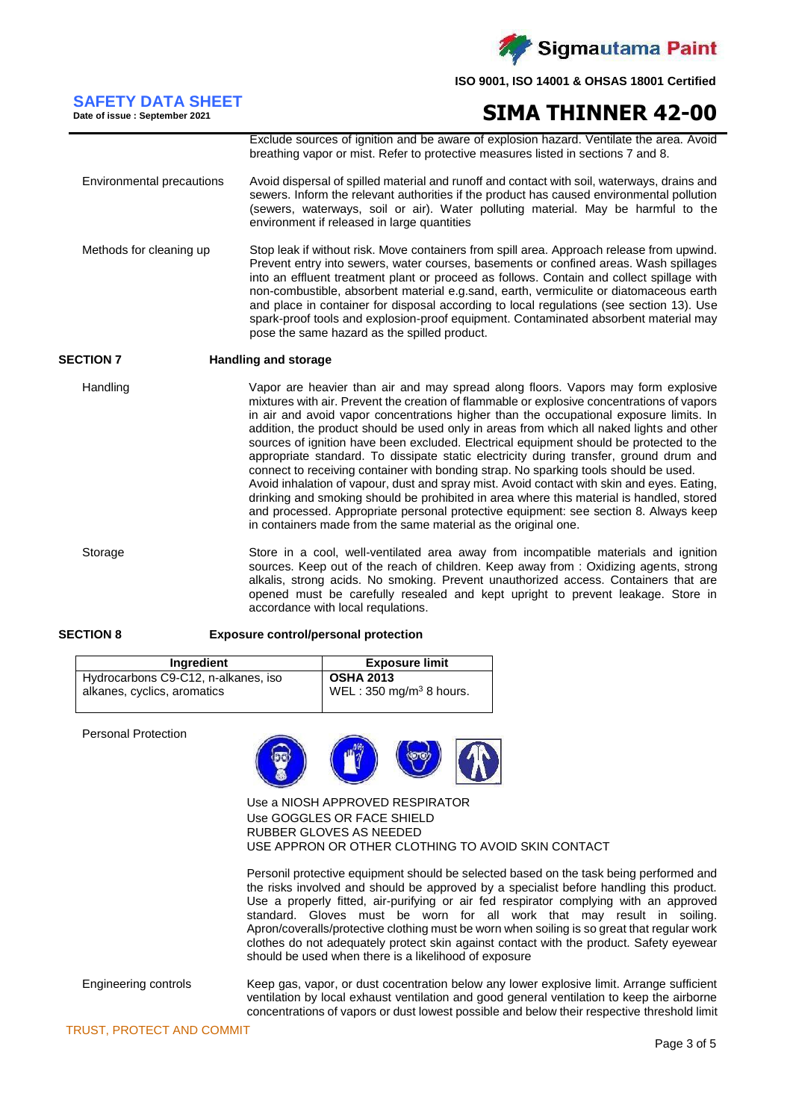

## **SAFETY DATA SHEET Date of issue : September 2021**

# **SIMA THINNER 42-00**

Exclude sources of ignition and be aware of explosion hazard. Ventilate the area. Avoid breathing vapor or mist. Refer to protective measures listed in sections 7 and 8. Environmental precautions Avoid dispersal of spilled material and runoff and contact with soil, waterways, drains and sewers. Inform the relevant authorities if the product has caused environmental pollution (sewers, waterways, soil or air). Water polluting material. May be harmful to the environment if released in large quantities

Methods for cleaning up Stop leak if without risk. Move containers from spill area. Approach release from upwind. Prevent entry into sewers, water courses, basements or confined areas. Wash spillages into an effluent treatment plant or proceed as follows. Contain and collect spillage with non-combustible, absorbent material e.g.sand, earth, vermiculite or diatomaceous earth and place in container for disposal according to local regulations (see section 13). Use spark-proof tools and explosion-proof equipment. Contaminated absorbent material may pose the same hazard as the spilled product.

## **SECTION 7 Handling and storage**

Handling Vapor are heavier than air and may spread along floors. Vapors may form explosive mixtures with air. Prevent the creation of flammable or explosive concentrations of vapors in air and avoid vapor concentrations higher than the occupational exposure limits. In addition, the product should be used only in areas from which all naked lights and other sources of ignition have been excluded. Electrical equipment should be protected to the appropriate standard. To dissipate static electricity during transfer, ground drum and connect to receiving container with bonding strap. No sparking tools should be used. Avoid inhalation of vapour, dust and spray mist. Avoid contact with skin and eyes. Eating, drinking and smoking should be prohibited in area where this material is handled, stored and processed. Appropriate personal protective equipment: see section 8. Always keep in containers made from the same material as the original one.

Storage Store in a cool, well-ventilated area away from incompatible materials and ignition sources. Keep out of the reach of children. Keep away from : Oxidizing agents, strong alkalis, strong acids. No smoking. Prevent unauthorized access. Containers that are opened must be carefully resealed and kept upright to prevent leakage. Store in accordance with local requlations.

### **SECTION 8 Exposure control/personal protection**

| Ingredient                          | <b>Exposure limit</b>              |
|-------------------------------------|------------------------------------|
| Hydrocarbons C9-C12, n-alkanes, iso | <b>OSHA 2013</b>                   |
| alkanes, cyclics, aromatics         | WEL: $350 \text{ mg/m}^3$ 8 hours. |

Personal Protection



Use a NIOSH APPROVED RESPIRATOR Use GOGGLES OR FACE SHIELD RUBBER GLOVES AS NEEDED USE APPRON OR OTHER CLOTHING TO AVOID SKIN CONTACT

Personil protective equipment should be selected based on the task being performed and the risks involved and should be approved by a specialist before handling this product. Use a properly fitted, air-purifying or air fed respirator complying with an approved standard. Gloves must be worn for all work that may result in soiling. Apron/coveralls/protective clothing must be worn when soiling is so great that regular work clothes do not adequately protect skin against contact with the product. Safety eyewear should be used when there is a likelihood of exposure

Engineering controls Keep gas, vapor, or dust cocentration below any lower explosive limit. Arrange sufficient ventilation by local exhaust ventilation and good general ventilation to keep the airborne concentrations of vapors or dust lowest possible and below their respective threshold limit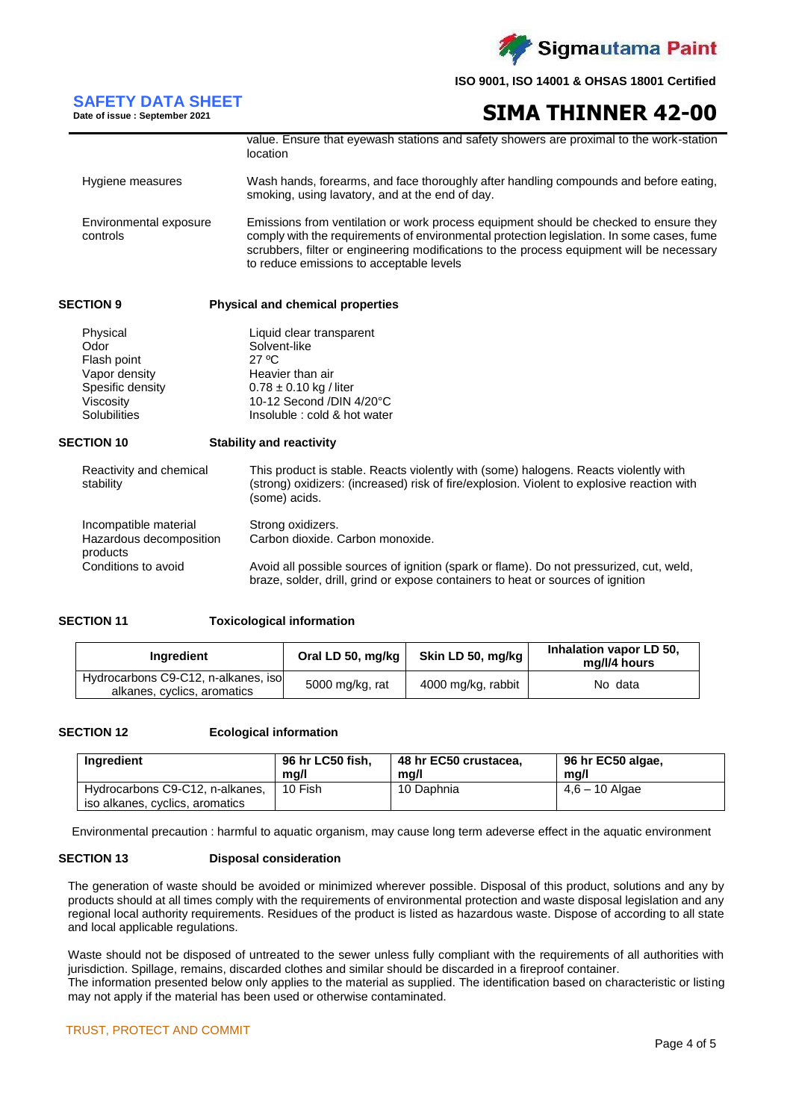

## **SAFETY DATA SHEET**

**Date of issue : September 2021**

**SIMA THINNER 42-00**

|                                    | value. Ensure that eyewash stations and safety showers are proximal to the work-station<br>location                                                                                                                                                                                                                         |
|------------------------------------|-----------------------------------------------------------------------------------------------------------------------------------------------------------------------------------------------------------------------------------------------------------------------------------------------------------------------------|
| Hygiene measures                   | Wash hands, forearms, and face thoroughly after handling compounds and before eating,<br>smoking, using lavatory, and at the end of day.                                                                                                                                                                                    |
| Environmental exposure<br>controls | Emissions from ventilation or work process equipment should be checked to ensure they<br>comply with the requirements of environmental protection legislation. In some cases, fume<br>scrubbers, filter or engineering modifications to the process equipment will be necessary<br>to reduce emissions to acceptable levels |
| <b>SECTION 9</b>                   | <b>Physical and chemical properties</b>                                                                                                                                                                                                                                                                                     |
| Physical                           | Liquid clear transparent                                                                                                                                                                                                                                                                                                    |

| Physical            | Liquid clear transparent     |
|---------------------|------------------------------|
| Odor                | Solvent-like                 |
| Flash point         | 27 °C                        |
| Vapor density       | Heavier than air             |
| Spesific density    | $0.78 \pm 0.10$ kg / liter   |
| Viscosity           | 10-12 Second /DIN 4/20°C     |
| <b>Solubilities</b> | Insoluble : cold & hot water |
|                     |                              |

## **SECTION 10 Stability and reactivity**

| Reactivity and chemical<br>stability                         | This product is stable. Reacts violently with (some) halogens. Reacts violently with<br>(strong) oxidizers: (increased) risk of fire/explosion. Violent to explosive reaction with<br>(some) acids. |
|--------------------------------------------------------------|-----------------------------------------------------------------------------------------------------------------------------------------------------------------------------------------------------|
| Incompatible material<br>Hazardous decomposition<br>products | Strong oxidizers.<br>Carbon dioxide. Carbon monoxide.                                                                                                                                               |
| Conditions to avoid                                          | Avoid all possible sources of ignition (spark or flame). Do not pressurized, cut, weld,<br>braze, solder, drill, grind or expose containers to heat or sources of ignition                          |

## **SECTION 11 Toxicological information**

| <b>Ingredient</b>                                                  | Oral LD 50, mg/kg $\vert$ | Skin LD 50, mg/kg  | Inhalation vapor LD 50,<br>mg/l/4 hours |
|--------------------------------------------------------------------|---------------------------|--------------------|-----------------------------------------|
| Hydrocarbons C9-C12, n-alkanes, iso<br>alkanes, cyclics, aromatics | 5000 mg/kg, rat           | 4000 mg/kg, rabbit | No data                                 |

## **SECTION 12 Ecological information**

| Ingredient                                                         | 96 hr LC50 fish. | 48 hr EC50 crustacea. | 96 hr EC50 algae, |
|--------------------------------------------------------------------|------------------|-----------------------|-------------------|
|                                                                    | ma/l             | ma/l                  | ma/l              |
| Hydrocarbons C9-C12, n-alkanes,<br>iso alkanes, cyclics, aromatics | 10 Fish          | 10 Daphnia            | $4.6 - 10$ Algae  |

Environmental precaution : harmful to aquatic organism, may cause long term adeverse effect in the aquatic environment

### **SECTION 13 Disposal consideration**

The generation of waste should be avoided or minimized wherever possible. Disposal of this product, solutions and any by products should at all times comply with the requirements of environmental protection and waste disposal legislation and any regional local authority requirements. Residues of the product is listed as hazardous waste. Dispose of according to all state and local applicable regulations.

Waste should not be disposed of untreated to the sewer unless fully compliant with the requirements of all authorities with jurisdiction. Spillage, remains, discarded clothes and similar should be discarded in a fireproof container. The information presented below only applies to the material as supplied. The identification based on characteristic or listing may not apply if the material has been used or otherwise contaminated.